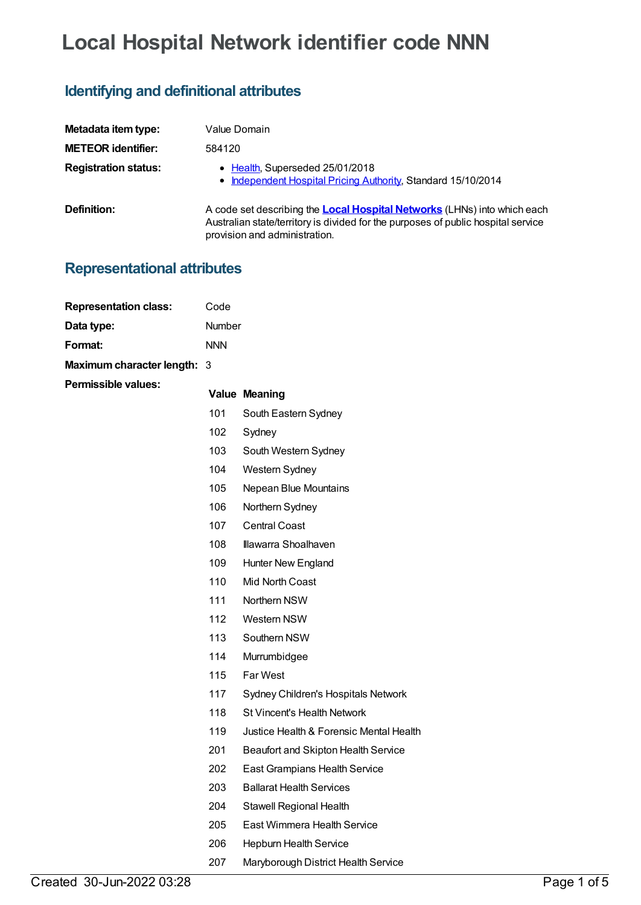# **Local Hospital Network identifier code NNN**

## **Identifying and definitional attributes**

| Metadata item type:         | Value Domain                                                                                                                                                                                          |
|-----------------------------|-------------------------------------------------------------------------------------------------------------------------------------------------------------------------------------------------------|
| <b>METEOR identifier:</b>   | 584120                                                                                                                                                                                                |
| <b>Registration status:</b> | • Health, Superseded 25/01/2018<br>• Independent Hospital Pricing Authority, Standard 15/10/2014                                                                                                      |
| Definition:                 | A code set describing the <b>Local Hospital Networks</b> (LHNs) into which each<br>Australian state/territory is divided for the purposes of public hospital service<br>provision and administration. |

### **Representational attributes**

| <b>Representation class:</b> | Code       |                                         |
|------------------------------|------------|-----------------------------------------|
| Data type:                   | Number     |                                         |
| Format:                      | <b>NNN</b> |                                         |
| Maximum character length: 3  |            |                                         |
| <b>Permissible values:</b>   |            | <b>Value Meaning</b>                    |
|                              | 101        | South Eastern Sydney                    |
|                              | 102        | Sydney                                  |
|                              | 103        | South Western Sydney                    |
|                              | 104        | Western Sydney                          |
|                              | 105        | Nepean Blue Mountains                   |
|                              | 106        | Northern Sydney                         |
|                              | 107        | <b>Central Coast</b>                    |
|                              | 108        | Illawarra Shoalhaven                    |
|                              | 109        | Hunter New England                      |
|                              | 110        | Mid North Coast                         |
|                              | 111        | Northern NSW                            |
|                              | 112        | Western NSW                             |
|                              | 113        | Southern NSW                            |
|                              | 114        | Murrumbidgee                            |
|                              | 115        | Far West                                |
|                              | 117        | Sydney Children's Hospitals Network     |
|                              | 118        | <b>St Vincent's Health Network</b>      |
|                              | 119        | Justice Health & Forensic Mental Health |
|                              | 201        | Beaufort and Skipton Health Service     |
|                              | 202        | East Grampians Health Service           |
|                              | 203        | <b>Ballarat Health Services</b>         |
|                              | 204        | Stawell Regional Health                 |
|                              | 205        | East Wimmera Health Service             |
|                              | 206        | Hepburn Health Service                  |
|                              | 207        | Maryborough District Health Service     |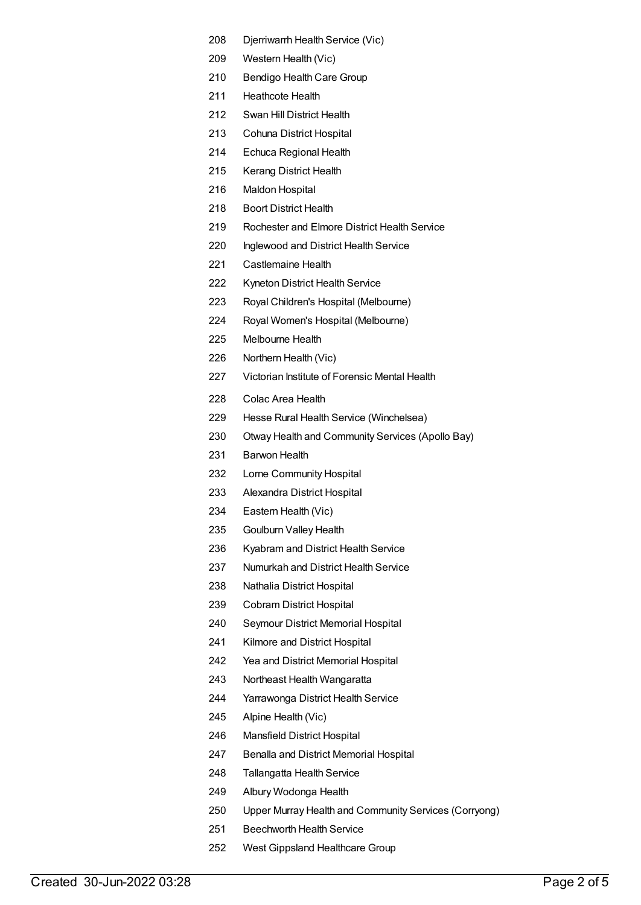- Djerriwarrh Health Service (Vic)
- Western Health (Vic)
- Bendigo Health Care Group
- Heathcote Health
- Swan Hill District Health
- Cohuna District Hospital
- Echuca Regional Health
- Kerang District Health
- Maldon Hospital
- Boort District Health
- Rochester and Elmore District Health Service
- Inglewood and District Health Service
- Castlemaine Health
- Kyneton District Health Service
- Royal Children's Hospital (Melbourne)
- Royal Women's Hospital (Melbourne)
- Melbourne Health
- Northern Health (Vic)
- Victorian Institute of Forensic Mental Health
- Colac Area Health
- Hesse Rural Health Service (Winchelsea)
- Otway Health and Community Services (Apollo Bay)
- Barwon Health
- Lorne Community Hospital
- Alexandra District Hospital
- Eastern Health (Vic)
- Goulburn Valley Health
- Kyabram and District Health Service
- Numurkah and District Health Service
- Nathalia District Hospital
- Cobram District Hospital
- Seymour District Memorial Hospital
- Kilmore and District Hospital
- Yea and District Memorial Hospital
- Northeast Health Wangaratta
- Yarrawonga District Health Service
- Alpine Health (Vic)
- Mansfield District Hospital
- Benalla and District Memorial Hospital
- Tallangatta Health Service
- Albury Wodonga Health
- Upper Murray Health and Community Services (Corryong)
- Beechworth Health Service
- West Gippsland Healthcare Group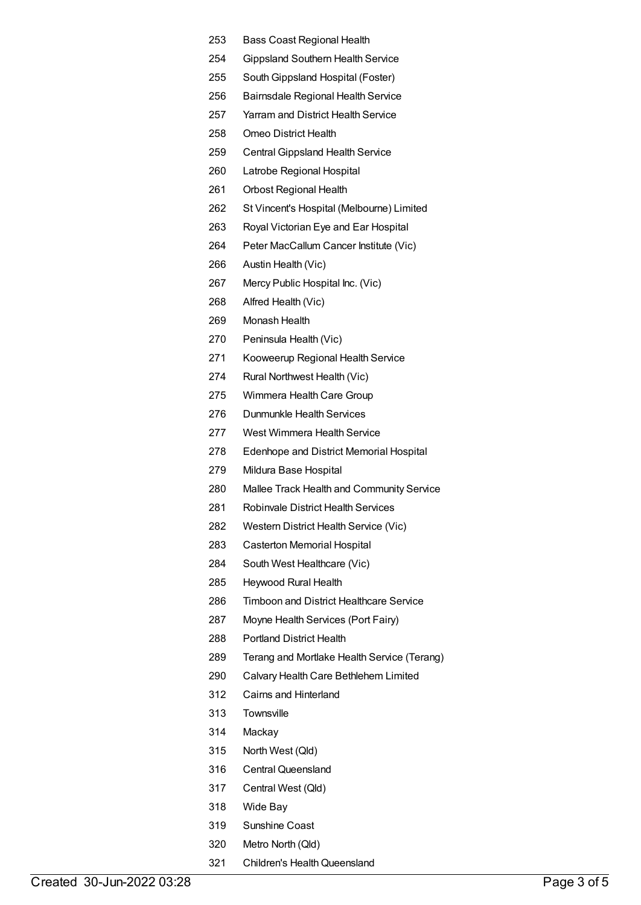- Bass Coast Regional Health
- Gippsland Southern Health Service
- SouthGippsland Hospital (Foster)
- Bairnsdale Regional Health Service
- Yarram and District Health Service
- Omeo District Health
- Central Gippsland Health Service
- Latrobe Regional Hospital
- Orbost Regional Health
- St Vincent's Hospital (Melbourne) Limited
- Royal Victorian Eye and Ear Hospital
- Peter MacCallum Cancer Institute (Vic)
- Austin Health (Vic)
- Mercy Public Hospital Inc. (Vic)
- Alfred Health (Vic)
- Monash Health
- Peninsula Health (Vic)
- Kooweerup Regional Health Service
- Rural Northwest Health (Vic)
- Wimmera Health Care Group
- Dunmunkle Health Services
- West Wimmera Health Service
- Edenhope and District Memorial Hospital
- Mildura Base Hospital
- Mallee Track Health and Community Service
- Robinvale District Health Services
- Western District Health Service (Vic)
- Casterton Memorial Hospital
- South West Healthcare (Vic)
- Heywood Rural Health
- Timboon and District Healthcare Service
- Moyne Health Services (Port Fairy)
- Portland District Health
- Terang and Mortlake Health Service (Terang)
- Calvary Health Care Bethlehem Limited
- Cairns and Hinterland
- Townsville
- Mackay
- North West (Qld)
- Central Queensland
- Central West (Qld)
- Wide Bay
- Sunshine Coast
- Metro North (Qld)
- 321 Children's Health Queensland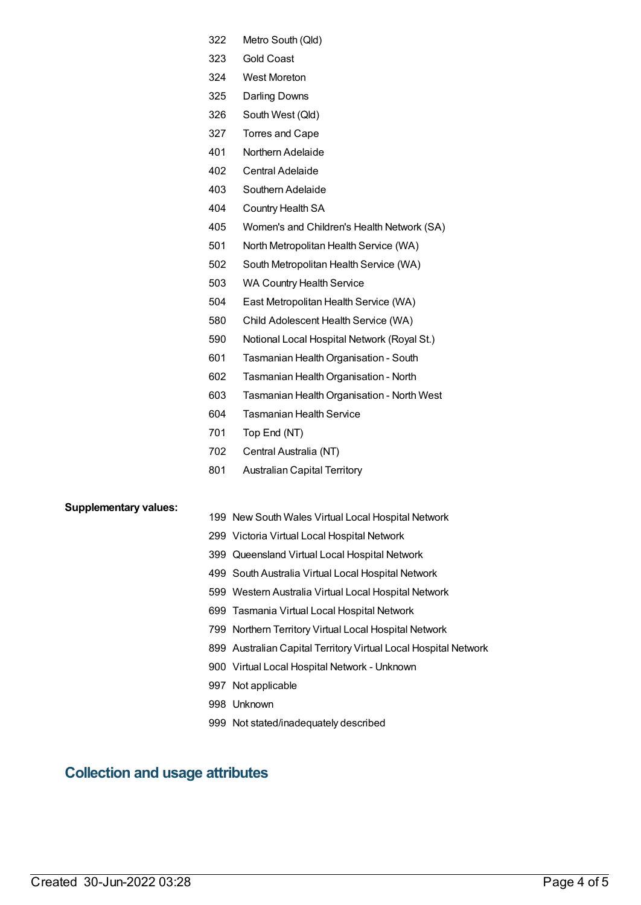- Metro South (Qld)
- Gold Coast
- West Moreton
- Darling Downs
- South West (Qld)
- Torres and Cape
- Northern Adelaide
- Central Adelaide
- Southern Adelaide
- Country Health SA
- Women's and Children's Health Network (SA)
- North Metropolitan Health Service (WA)
- South Metropolitan Health Service (WA)
- WA Country Health Service
- East Metropolitan Health Service (WA)
- Child Adolescent Health Service (WA)
- Notional Local Hospital Network (Royal St.)
- 601 Tasmanian Health Organisation South
- Tasmanian HealthOrganisation North
- 603 Tasmanian Health Organisation North West
- Tasmanian Health Service
- Top End (NT)
- Central Australia (NT)
- Australian Capital Territory

#### **Supplementary values:**

- New South Wales Virtual Local Hospital Network
- Victoria Virtual Local Hospital Network
- Queensland Virtual Local Hospital Network
- South Australia Virtual Local Hospital Network
- Western Australia Virtual Local Hospital Network
- Tasmania Virtual Local Hospital Network
- Northern Territory Virtual Local Hospital Network
- Australian Capital Territory Virtual Local Hospital Network
- Virtual Local Hospital Network Unknown
- Not applicable
- Unknown
- Not stated/inadequately described

### **Collection and usage attributes**